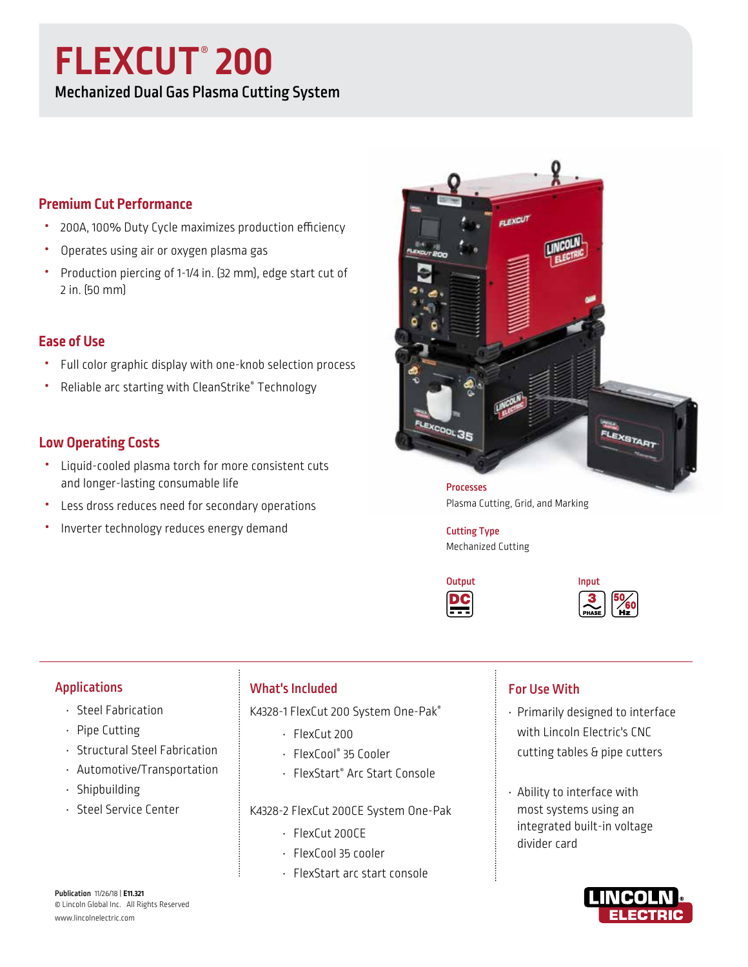# **FLEXCUT**® **200**

Mechanized Dual Gas Plasma Cutting System

# **Premium Cut Performance**

- 200A, 100% Duty Cycle maximizes production efficiency
- Operates using air or oxygen plasma gas
- Production piercing of 1-1/4 in. (32 mm), edge start cut of 2 in. (50 mm)

# **Ease of Use**

- Full color graphic display with one-knob selection process
- Reliable arc starting with CleanStrike® Technology

# **Low Operating Costs**

- Liquid-cooled plasma torch for more consistent cuts and longer-lasting consumable life
- Less dross reduces need for secondary operations
- Inverter technology reduces energy demand



Plasma Cutting, Grid, and Marking

Cutting Type Mechanized Cutting





## Applications

- Steel Fabrication
- Pipe Cutting
- Structural Steel Fabrication
- Automotive/Transportation
- Shipbuilding
- Steel Service Center

## What's Included

K4328-1 FlexCut 200 System One-Pak®

- FlexCut 200
- FlexCool® 35 Cooler
- FlexStart® Arc Start Console

## K4328-2 FlexCut 200CE System One-Pak

- FlexCut 200CE
- FlexCool 35 cooler
- FlexStart arc start console

## For Use With

- Primarily designed to interface with Lincoln Electric's CNC cutting tables & pipe cutters
- Ability to interface with most systems using an integrated built-in voltage divider card



Publication 11/26/18 | **E11.321** © Lincoln Global Inc. All Rights Reserved www.lincolnelectric.com